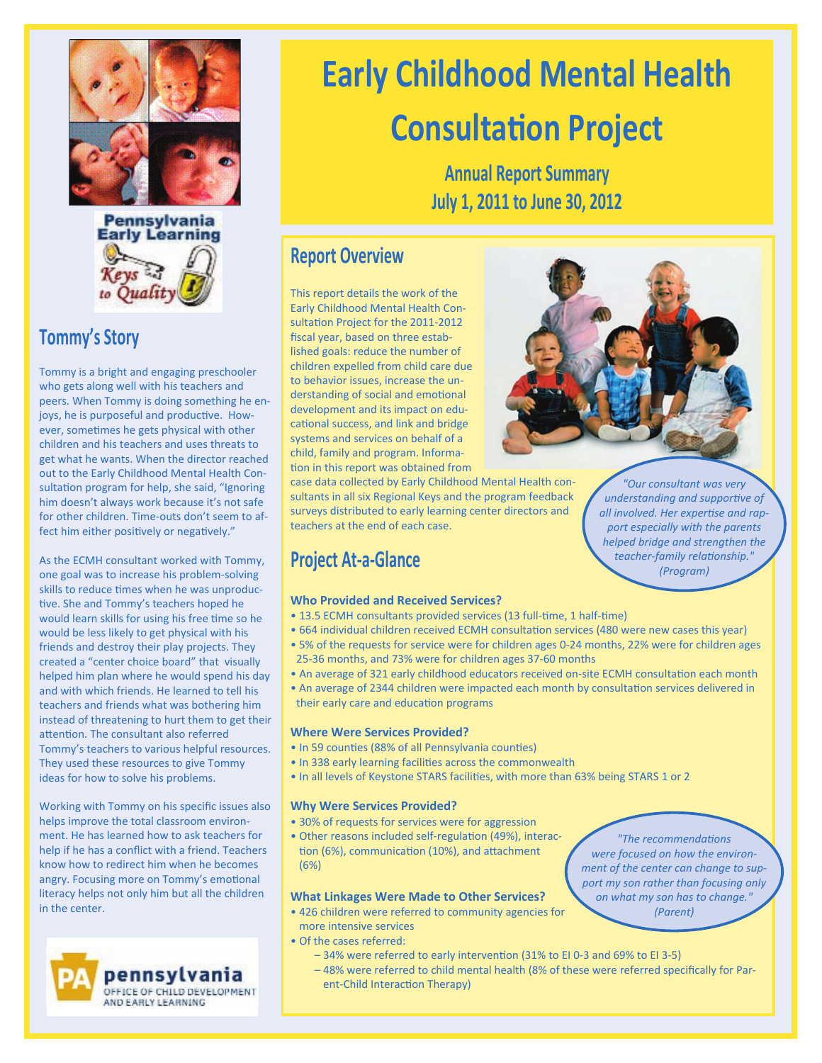



## **Tommy's Story**

Tommy is a bright and engaging preschooler who gets along well with his teachers and peers. When Tommy is doing something he enjoys, he is purposeful and productive. However, sometimes he gets physical with other children and his teachers and uses threats to get what he wants. When the director reached out to the Early Childhood Mental Health Consultation program for help, she said, "Ignoring him doesn't always work because it's not safe for other children. Time-outs don't seem to affect him either positively or negatively."

As the ECMH consultant worked with Tommy, one goal was to increase his problem-solving skills to reduce times when he was unproductive. She and Tommy's teachers hoped he would learn skills for using his free time so he would be less likely to get physical with his friends and destroy their play projects. They created a "center choice board" that visually helped him plan where he would spend his day and with which friends. He learned to tell his teachers and friends what was bothering him instead of threatening to hurt them to get their attention. The consultant also referred Tommy's teachers to various helpful resources. They used these resources to give Tommy ideas for how to solve his problems.

Working with Tommy on his specific issues also helps improve the total classroom environment. He has learned how to ask teachers for help if he has a conflict with a friend. Teachers know how to redirect him when he becomes angry. Focusing more on Tommy's emotional literacy helps not only him but all the children in the center.



# **Early Childhood Mental Health Consultation Project**

**Annual Report Summary July 1, 2011 to June 30, 2012**

### **Report Overview**

This report details the work of the Early Childhood Mental Health Consultation Project for the 2011-2012 fiscal year, based on three established goals: reduce the number of children expelled from child care due to behavior issues, increase the understanding of social and emotional development and its impact on educational success, and link and bridge systems and services on behalf of a child, family and program. Information in this report was obtained from

case data collected by Early Childhood Mental Health consultants in all six Regional Keys and the program feedback surveys distributed to early learning center directors and teachers at the end of each case.

# **Project At-a-Glance**

### **Who Provided and Received Services?**

- 13.5 ECMH consultants provided services (13 full-time, 1 half-time)
- 664 individual children received ECMH consultation services (480 were new cases this year)
- 5% of the requests for service were for children ages 0-24 months, 22% were for children ages 25-36 months, and 73% were for children ages 37-60 months
- An average of 321 early childhood educators received on-site ECMH consultation each month
- An average of 2344 children were impacted each month by consultation services delivered in their early care and education programs

#### **Where Were Services Provided?**

- In 59 counties (88% of all Pennsylvania counties)
- In 338 early learning facilities across the commonwealth
- In all levels of Keystone STARS facilities, with more than 63% being STARS 1 or 2

#### **Why Were Services Provided?**

- 30% of requests for services were for aggression
- Other reasons included self-regulation (49%), interaction (6%), communication (10%), and attachment (6%)

### **What Linkages Were Made to Other Services?**

- 426 children were referred to community agencies for more intensive services
- Of the cases referred:
	- 34% were referred to early intervention (31% to EI 0-3 and 69% to EI 3-5)
	- 48% were referred to child mental health (8% of these were referred specifically for Parent-Child Interaction Therapy)

*"The recommendations were focused on how the environment of the center can change to support my son rather than focusing only on what my son has to change." (Parent)*